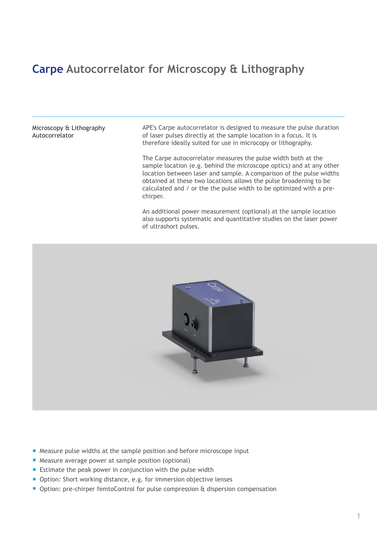## **Carpe Autocorrelator for Microscopy & Lithography**

Microscopy & Lithography Autocorrelator

APE's Carpe autocorrelator is designed to measure the pulse duration of laser pulses directly at the sample location in a focus. It is therefore ideally suited for use in microcopy or lithography.

The Carpe autocorrelator measures the pulse width both at the sample location (e.g. behind the microscope optics) and at any other location between laser and sample. A comparison of the pulse widths obtained at these two locations allows the pulse broadening to be calculated and / or the the pulse width to be optimized with a prechirper.

An additional power measurement (optional) at the sample location also supports systematic and quantitative studies on the laser power of ultrashort pulses.



- Measure pulse widths at the sample position and before microscope input
- Measure average power at sample position (optional)
- **Estimate the peak power in conjunction with the pulse width**
- Option: Short working distance, e.g. for immersion objective lenses
- Option: pre-chirper femtoControl for pulse compression & dispersion compensation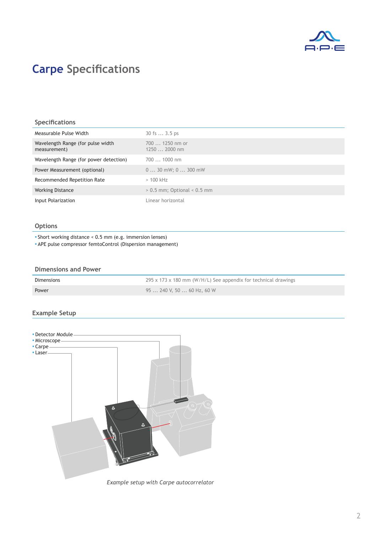

# **Carpe Specifications**

### **Specifications**

| Measurable Pulse Width                            | 30 fs  3.5 ps                    |
|---------------------------------------------------|----------------------------------|
| Wavelength Range (for pulse width<br>measurement) | $7001250$ nm or<br>$12502000$ nm |
| Wavelength Range (for power detection)            | $7001000$ nm                     |
| Power Measurement (optional)                      | $030$ mW; $0300$ mW              |
| Recommended Repetition Rate                       | $>100$ kHz                       |
| <b>Working Distance</b>                           | $> 0.5$ mm; Optional $< 0.5$ mm  |
| Input Polarization                                | Linear horizontal                |

### **Options**

▪ Short working distance < 0.5 mm (e.g. immersion lenses)

▪ APE pulse compressor femtoControl (Dispersion management)

#### **Dimensions and Power**

| Dimensions | 295 x 173 x 180 mm (W/H/L) See appendix for technical drawings |
|------------|----------------------------------------------------------------|
| Power      | 95  240 V, 50  60 Hz, 60 W                                     |

### **Example Setup**